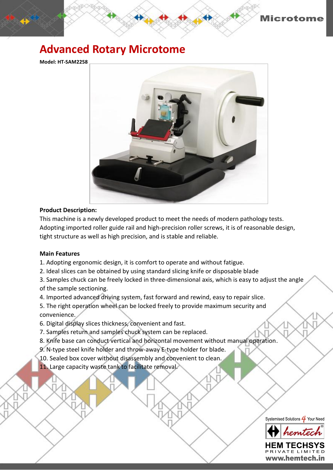

## **Advanced Rotary Microtome**

**Model: HT-SAM2258**



## **Product Description:**

This machine is a newly developed product to meet the needs of modern pathology tests. Adopting imported roller guide rail and high-precision roller screws, it is of reasonable design, tight structure as well as high precision, and is stable and reliable.

## **Main Features**

1. Adopting ergonomic design, it is comfort to operate and without fatigue.

- 2. Ideal slices can be obtained by using standard slicing knife or disposable blade
- 3. Samples chuck can be freely locked in three-dimensional axis, which is easy to adjust the angle of the sample sectioning.

4. Imported advanced driving system, fast forward and rewind, easy to repair slice.

5. The right operation wheel can be locked freely to provide maximum security and convenience.

- 6. Digital display slices thickness, convenient and fast.
- 7. Samples return and samples chuck system can be replaced.
- 8. Knife base can conduct vertical and horizontal movement without manual operation.
- 9. N-type steel knife holder and throw-away E-type holder for blade.
- 10. Sealed box cover without disassembly and convenient to clean.

11. Large capacity waste tank to facilitate removal.





HFM TEC **RIVATE LIMI** www.hemtech.in